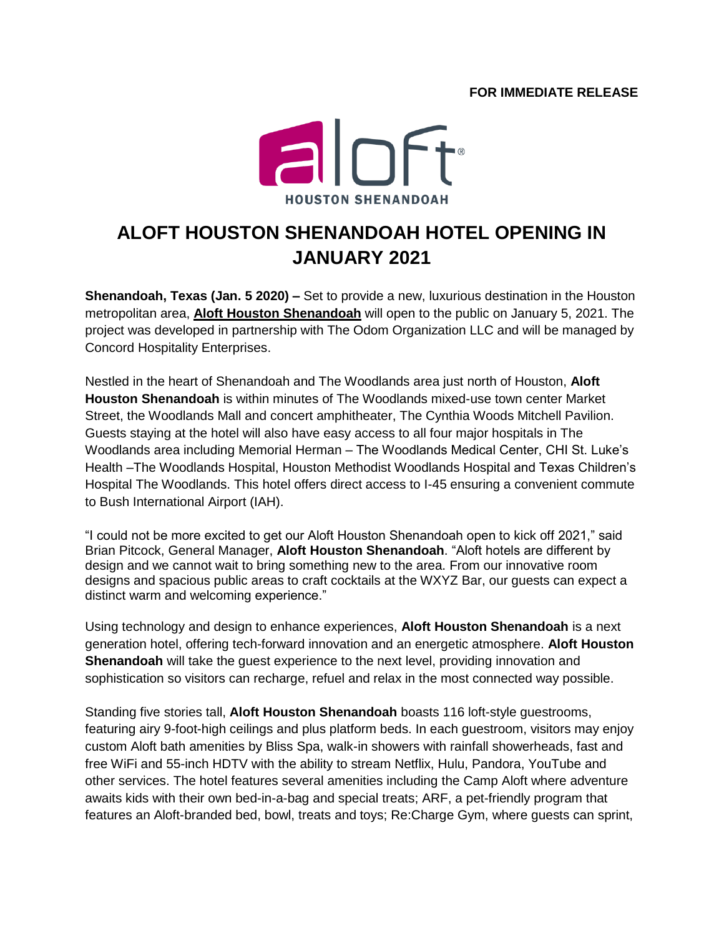## **FOR IMMEDIATE RELEASE**



## **ALOFT HOUSTON SHENANDOAH HOTEL OPENING IN JANUARY 2021**

**Shenandoah, Texas (Jan. 5 2020) –** Set to provide a new, luxurious destination in the Houston metropolitan area, **[Aloft Houston Shenandoah](https://www.marriott.com/hotels/travel/houao-aloft-houston-shenandoah/)** will open to the public on January 5, 2021. The project was developed in partnership with The Odom Organization LLC and will be managed by Concord Hospitality Enterprises.

Nestled in the heart of Shenandoah and The Woodlands area just north of Houston, **Aloft Houston Shenandoah** is within minutes of The Woodlands mixed-use town center Market Street, the Woodlands Mall and concert amphitheater, The Cynthia Woods Mitchell Pavilion. Guests staying at the hotel will also have easy access to all four major hospitals in The Woodlands area including Memorial Herman – The Woodlands Medical Center, CHI St. Luke's Health –The Woodlands Hospital, Houston Methodist Woodlands Hospital and Texas Children's Hospital The Woodlands. This hotel offers direct access to I-45 ensuring a convenient commute to Bush International Airport (IAH).

"I could not be more excited to get our Aloft Houston Shenandoah open to kick off 2021," said Brian Pitcock, General Manager, **Aloft Houston Shenandoah**. "Aloft hotels are different by design and we cannot wait to bring something new to the area. From our innovative room designs and spacious public areas to craft cocktails at the WXYZ Bar, our guests can expect a distinct warm and welcoming experience."

Using technology and design to enhance experiences, **Aloft Houston Shenandoah** is a next generation hotel, offering tech-forward innovation and an energetic atmosphere. **Aloft Houston Shenandoah** will take the guest experience to the next level, providing innovation and sophistication so visitors can recharge, refuel and relax in the most connected way possible.

Standing five stories tall, **Aloft Houston Shenandoah** boasts 116 loft-style guestrooms, featuring airy 9-foot-high ceilings and plus platform beds. In each guestroom, visitors may enjoy custom Aloft bath amenities by Bliss Spa, walk-in showers with rainfall showerheads, fast and free WiFi and 55-inch HDTV with the ability to stream Netflix, Hulu, Pandora, YouTube and other services. The hotel features several amenities including the Camp Aloft where adventure awaits kids with their own bed-in-a-bag and special treats; ARF, a pet-friendly program that features an Aloft-branded bed, bowl, treats and toys; Re:Charge Gym, where guests can sprint,